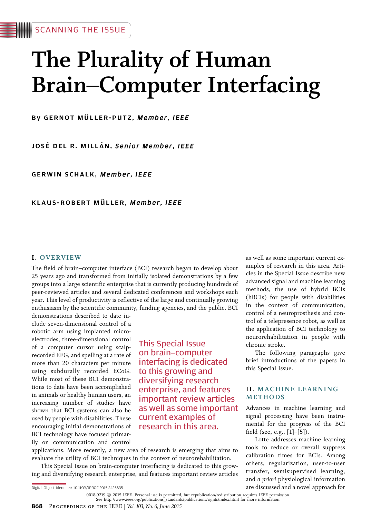# The Plurality of Human Brain-Computer Interfacing

By GERNOT MÜLLER-PUTZ, Member, IEEE

JOSÉ DEL R. MILLÁN, Senior Member, IEEE

GERWIN SCHALK, Member, IEEE

KLAUS-ROBERT MÜLLER, Member, IEEE

## I. OVERVIEW

The field of brain-computer interface (BCI) research began to develop about 25 years ago and transformed from initially isolated demonstrations by a few groups into a large scientific enterprise that is currently producing hundreds of peer-reviewed articles and several dedicated conferences and workshops each year. This level of productivity is reflective of the large and continually growing enthusiasm by the scientific community, funding agencies, and the public. BCI

demonstrations described to date include seven-dimensional control of a robotic arm using implanted microelectrodes, three-dimensional control of a computer cursor using scalprecorded EEG, and spelling at a rate of more than 20 characters per minute using subdurally recorded ECoG. While most of these BCI demonstrations to date have been accomplished in animals or healthy human users, an increasing number of studies have shown that BCI systems can also be used by people with disabilities. These encouraging initial demonstrations of BCI technology have focused primarily on communication and control

This Special Issue on brain-computer interfacing is dedicated to this growing and diversifying research enterprise, and features important review articles as well as some important current examples of research in this area.

applications. More recently, a new area of research is emerging that aims to evaluate the utility of BCI techniques in the context of neurorehabilitation.

This Special Issue on brain-computer interfacing is dedicated to this growing and diversifying research enterprise, and features important review articles as well as some important current examples of research in this area. Articles in the Special Issue describe new advanced signal and machine learning methods, the use of hybrid BCIs (hBCIs) for people with disabilities in the context of communication, control of a neuroprosthesis and control of a telepresence robot, as well as the application of BCI technology to neurorehabilitation in people with chronic stroke.

The following paragraphs give brief introductions of the papers in this Special Issue.

## II. MACHINE LEARNING METHODS

Advances in machine learning and signal processing have been instrumental for the progress of the BCI field (see, e.g.,  $[1]$ - $[5]$ ).

Lotte addresses machine learning tools to reduce or overall suppress calibration times for BCIs. Among others, regularization, user-to-user transfer, semisupervised learning, and a priori physiological information are discussed and a novel approach for

Digital Object Identifier: 10.1109/JPROC.2015.2425835

<sup>0018-9219 © 2015</sup> IEEE. Personal use is permitted, but republication/redistribution requires IEEE permission.<br>See http://www.ieee.org/publications\_standards/publications/rights/index.html for more information.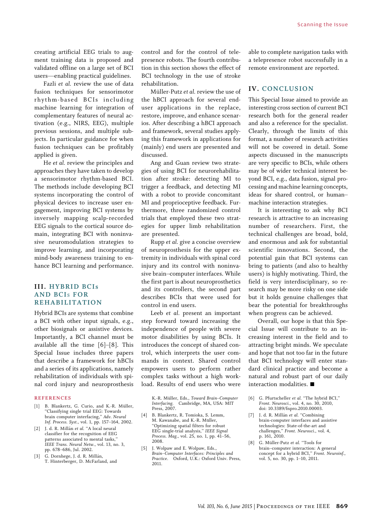creating artificial EEG trials to augment training data is proposed and validated offline on a large set of BCI users—enabling practical guidelines.

Fazli et al. review the use of data fusion techniques for sensorimotor rhythm-based BCIs including machine learning for integration of complementary features of neural activation (e.g., NIRS, EEG), multiple previous sessions, and multiple subjects. In particular guidance for when fusion techniques can be profitably applied is given.

He et al. review the principles and approaches they have taken to develop a sensorimotor rhythm-based BCI. The methods include developing BCI systems incorporating the control of physical devices to increase user engagement, improving BCI systems by inversely mapping scalp-recorded EEG signals to the cortical source domain, integrating BCI with noninvasive neuromodulation strategies to improve learning, and incorporating mind-body awareness training to enhance BCI learning and performance.

# III. HYBRID BCIs AND BCIs FOR REHABILITATION

Hybrid BCIs are systems that combine a BCI with other input signals, e.g., other biosignals or assistive devices. Importantly, a BCI channel must be available all the time  $[6]-[8]$ . This Special Issue includes three papers that describe a framework for hBCIs and a series of its applications, namely rehabilitation of individuals with spinal cord injury and neuroprosthesis

#### REFERENCES

- [1] B. Blankertz, G. Curio, and K.-R. Müller, 'Classifying single trial EEG: Towards brain computer interfacing,'' Adv. Neural Inf. Process. Syst., vol. 1, pp. 157-164, 2002.
- [2] J. d. R. Millán et al. "A local neural classifier for the recognition of EEG patterns associated to mental tasks,'' IEEE Trans. Neural Netw., vol. 13, no. 3, pp. 678-686, Jul. 2002.
- [3] G. Dornhege, J. d. R. Millán, T. Hinterberger, D. McFarland, and

control and for the control of telepresence robots. The fourth contribution in this section shows the effect of BCI technology in the use of stroke rehabilitation.

Müller-Putz et al. review the use of the hBCI approach for several enduser applications in the replace, restore, improve, and enhance scenarios. After describing a hBCI approach and framework, several studies applying this framework in applications for (mainly) end users are presented and discussed.

Ang and Guan review two strategies of using BCI for neurorehabilitation after stroke: detecting MI to trigger a feedback, and detecting MI with a robot to provide concomitant MI and proprioceptive feedback. Furthermore, three randomized control trials that employed these two strategies for upper limb rehabilitation are presented.

Rupp et al. give a concise overview of neuroprosthesis for the upper extremity in individuals with spinal cord injury and its control with noninvasive brain-computer interfaces. While the first part is about neuroprosthetics and its controllers, the second part describes BCIs that were used for control in end users.

Leeb et al. present an important step forward toward increasing the independence of people with severe motor disabilities by using BCIs. It introduces the concept of shared control, which interprets the user commands in context. Shared control empowers users to perform rather complex tasks without a high workload. Results of end users who were

> K.-R. Müller, Eds., Toward Brain-Computer Interfacing. Cambridge, MA, USA: MIT Press, 2007.

- [4] B. Blankertz, R. Tomioka, S. Lemm, M. Kawanabe, and K.-R. Müller, ''Optimizing spatial filters for robust EEG single-trial analysis,'' IEEE Signal Process. Mag., vol. 25, no. 1, pp. 41-56, 2008.
- [5] J. Wolpaw and E. Wolpaw, Eds., Brain-Computer Interfaces: Principles and Practice. Oxford, U.K.: Oxford Univ. Press, 2011.

able to complete navigation tasks with a telepresence robot successfully in a remote environment are reported.

### IV. CONCLUSION

This Special Issue aimed to provide an interesting cross section of current BCI research both for the general reader and also a reference for the specialist. Clearly, through the limits of this format, a number of research activities will not be covered in detail. Some aspects discussed in the manuscripts are very specific to BCIs, while others may be of wider technical interest beyond BCI, e.g., data fusion, signal processing and machine learning concepts, ideas for shared control, or humanmachine interaction strategies.

It is interesting to ask why BCI research is attractive to an increasing number of researchers. First, the technical challenges are broad, bold, and enormous and ask for substantial scientific innovations. Second, the potential gain that BCI systems can bring to patients (and also to healthy users) is highly motivating. Third, the field is very interdisciplinary, so research may be more risky on one side but it holds genuine challenges that bear the potential for breakthroughs when progress can be achieved.

Overall, our hope is that this Special Issue will contribute to an increasing interest in the field and to attracting bright minds. We speculate and hope that not too far in the future that BCI technology will enter standard clinical practice and become a natural and robust part of our daily interaction modalities.  $\blacksquare$ 

- [6] G. Pfurtscheller et al. "The hybrid BCI," Front. Neurosci., vol. 4, no. 30, 2010, doi: 10.3389/fnpro.2010.00003.
- [7] J. d. R. Millán et al. "Combining brain-computer interfaces and assistive technologies: State-of-the-art and challenges,'' Front. Neurosci., vol. 4, p. 161, 2010.
- [8] G. Müller-Putz et al. "Tools for brain-computer interaction: A general concept for a hybrid BCI,'' Front. Neuroinf., vol. 5, no. 30, pp. 1-10, 2011.